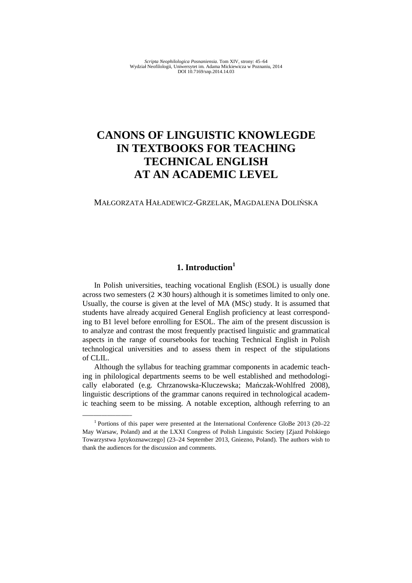# **CANONS OF LINGUISTIC KNOWLEGDE IN TEXTBOOKS FOR TEACHING TECHNICAL ENGLISH AT AN ACADEMIC LEVEL**

#### MAŁGORZATA HAŁADEWICZ-GRZELAK, MAGDALENA DOLIŃSKA

# **1. Introduction<sup>1</sup>**

In Polish universities, teaching vocational English (ESOL) is usually done across two semesters  $(2 \times 30$  hours) although it is sometimes limited to only one. Usually, the course is given at the level of MA (MSc) study. It is assumed that students have already acquired General English proficiency at least corresponding to B1 level before enrolling for ESOL. The aim of the present discussion is to analyze and contrast the most frequently practised linguistic and grammatical aspects in the range of coursebooks for teaching Technical English in Polish technological universities and to assess them in respect of the stipulations of CLIL.

Although the syllabus for teaching grammar components in academic teaching in philological departments seems to be well established and methodologically elaborated (e.g. Chrzanowska-Kluczewska; Mańczak-Wohlfred 2008), linguistic descriptions of the grammar canons required in technological academic teaching seem to be missing. A notable exception, although referring to an

<sup>&</sup>lt;sup>1</sup> Portions of this paper were presented at the International Conference GloBe 2013 (20-22 May Warsaw, Poland) and at the LXXI Congress of Polish Linguistic Society [Zjazd Polskiego Towarzystwa Językoznawczego] (23–24 September 2013, Gniezno, Poland). The authors wish to thank the audiences for the discussion and comments.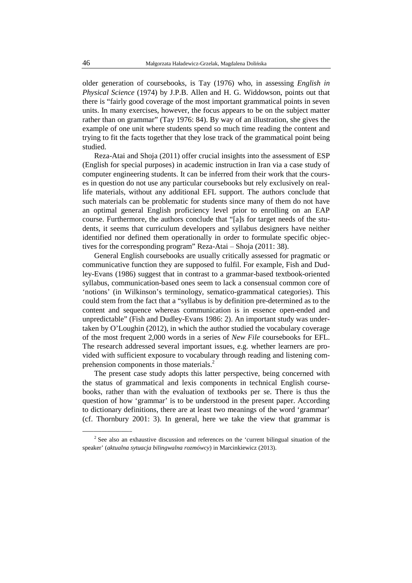older generation of coursebooks, is Tay (1976) who, in assessing *English in Physical Science* (1974) by J.P.B. Allen and H. G. Widdowson, points out that there is "fairly good coverage of the most important grammatical points in seven units. In many exercises, however, the focus appears to be on the subject matter rather than on grammar" (Tay 1976: 84). By way of an illustration, she gives the example of one unit where students spend so much time reading the content and trying to fit the facts together that they lose track of the grammatical point being studied.

Reza-Atai and Shoja (2011) offer crucial insights into the assessment of ESP (English for special purposes) in academic instruction in Iran via a case study of computer engineering students. It can be inferred from their work that the courses in question do not use any particular coursebooks but rely exclusively on reallife materials, without any additional EFL support. The authors conclude that such materials can be problematic for students since many of them do not have an optimal general English proficiency level prior to enrolling on an EAP course. Furthermore, the authors conclude that "[a]s for target needs of the students, it seems that curriculum developers and syllabus designers have neither identified nor defined them operationally in order to formulate specific objectives for the corresponding program" Reza-Atai – Shoja (2011: 38).

General English coursebooks are usually critically assessed for pragmatic or communicative function they are supposed to fulfil. For example, Fish and Dudley-Evans (1986) suggest that in contrast to a grammar-based textbook-oriented syllabus, communication-based ones seem to lack a consensual common core of 'notions' (in Wilkinson's terminology, sematico-grammatical categories). This could stem from the fact that a "syllabus is by definition pre-determined as to the content and sequence whereas communication is in essence open-ended and unpredictable" (Fish and Dudley-Evans 1986: 2). An important study was undertaken by O'Loughin (2012), in which the author studied the vocabulary coverage of the most frequent 2,000 words in a series of *New File* coursebooks for EFL. The research addressed several important issues, e.g. whether learners are provided with sufficient exposure to vocabulary through reading and listening comprehension components in those materials.<sup>2</sup>

The present case study adopts this latter perspective, being concerned with the status of grammatical and lexis components in technical English coursebooks, rather than with the evaluation of textbooks per se. There is thus the question of how 'grammar' is to be understood in the present paper. According to dictionary definitions, there are at least two meanings of the word 'grammar' (cf. Thornbury 2001: 3). In general, here we take the view that grammar is

 $2^2$  See also an exhaustive discussion and references on the 'current bilingual situation of the speaker' (*aktualna sytuacja bilingwalna rozmówcy*) in Marcinkiewicz (2013).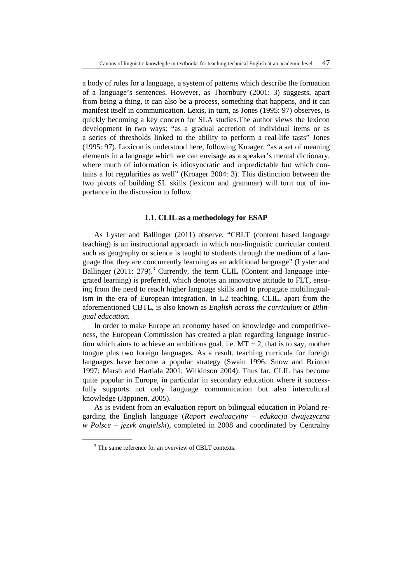a body of rules for a language, a system of patterns which describe the formation of a language's sentences. However, as Thornbury (2001: 3) suggests, apart from being a thing, it can also be a process, something that happens, and it can manifest itself in communication. Lexis, in turn, as Jones (1995: 97) observes, is quickly becoming a key concern for SLA studies.The author views the lexicon development in two ways: "as a gradual accretion of individual items or as a series of thresholds linked to the ability to perform a real-life tasts" Jones (1995: 97). Lexicon is understood here, following Kroager, "as a set of meaning elements in a language which we can envisage as a speaker's mental dictionary, where much of information is idiosyncratic and unpredictable but which contains a lot regularities as well" (Kroager 2004: 3). This distinction between the two pivots of building SL skills (lexicon and grammar) will turn out of importance in the discussion to follow.

#### **1.1. CLIL as a methodology for ESAP**

As Lyster and Ballinger (2011) observe, "CBLT (content based language teaching) is an instructional approach in which non-linguistic curricular content such as geography or science is taught to students through the medium of a language that they are concurrently learning as an additional language" (Lyster and Ballinger  $(2011: 279)$ .<sup>3</sup> Currently, the term CLIL (Content and language integrated learning) is preferred, which denotes an innovative attitude to FLT, ensuing from the need to reach higher language skills and to propagate multilingualism in the era of European integration. In L2 teaching, CLIL, apart from the aforementioned CBTL, is also known as *English across the curriculum* or *Bilingual education.*

In order to make Europe an economy based on knowledge and competitiveness, the European Commission has created a plan regarding language instruction which aims to achieve an ambitious goal, i.e.  $MT + 2$ , that is to say, mother tongue plus two foreign languages. As a result, teaching curricula for foreign languages have become a popular strategy (Swain 1996; Snow and Brinton 1997; Marsh and Hartiala 2001; Wilkinson 2004). Thus far, CLIL has become quite popular in Europe, in particular in secondary education where it successfully supports not only language communication but also intercultural knowledge (Jäppinen, 2005).

As is evident from an evaluation report on bilingual education in Poland regarding the English language (*Raport ewaluacyjny – edukacja dwujęzyczna w Polsce – język angielski*), completed in 2008 and coordinated by Centralny

 $\overline{\phantom{a}}$  , where  $\overline{\phantom{a}}$ 

<sup>&</sup>lt;sup>3</sup> The same reference for an overview of CBLT contexts.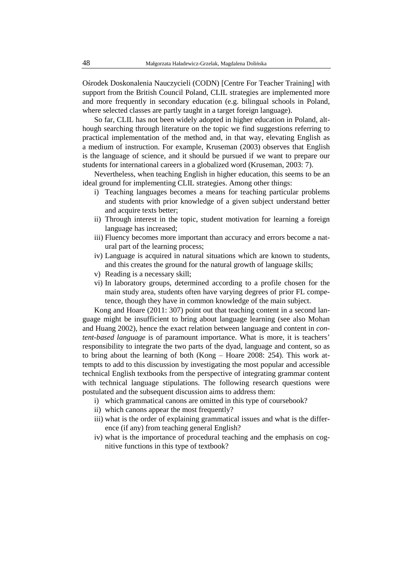Ośrodek Doskonalenia Nauczycieli (CODN) [Centre For Teacher Training] with support from the British Council Poland, CLIL strategies are implemented more and more frequently in secondary education (e.g. bilingual schools in Poland, where selected classes are partly taught in a target foreign language).

So far, CLIL has not been widely adopted in higher education in Poland, although searching through literature on the topic we find suggestions referring to practical implementation of the method and, in that way, elevating English as a medium of instruction. For example, Kruseman (2003) observes that English is the language of science, and it should be pursued if we want to prepare our students for international careers in a globalized word (Kruseman, 2003: 7).

Nevertheless, when teaching English in higher education, this seems to be an ideal ground for implementing CLIL strategies. Among other things:

- i) Teaching languages becomes a means for teaching particular problems and students with prior knowledge of a given subject understand better and acquire texts better;
- ii) Through interest in the topic, student motivation for learning a foreign language has increased;
- iii) Fluency becomes more important than accuracy and errors become a natural part of the learning process;
- iv) Language is acquired in natural situations which are known to students, and this creates the ground for the natural growth of language skills;
- v) Reading is a necessary skill;
- vi) In laboratory groups, determined according to a profile chosen for the main study area, students often have varying degrees of prior FL competence, though they have in common knowledge of the main subject.

Kong and Hoare (2011: 307) point out that teaching content in a second language might be insufficient to bring about language learning (see also Mohan and Huang 2002), hence the exact relation between language and content in *content-based language* is of paramount importance. What is more, it is teachers' responsibility to integrate the two parts of the dyad, language and content, so as to bring about the learning of both  $(Kong - Hoare 2008: 254)$ . This work attempts to add to this discussion by investigating the most popular and accessible technical English textbooks from the perspective of integrating grammar content with technical language stipulations. The following research questions were postulated and the subsequent discussion aims to address them:

- i) which grammatical canons are omitted in this type of coursebook?
- ii) which canons appear the most frequently?
- iii) what is the order of explaining grammatical issues and what is the difference (if any) from teaching general English?
- iv) what is the importance of procedural teaching and the emphasis on cognitive functions in this type of textbook?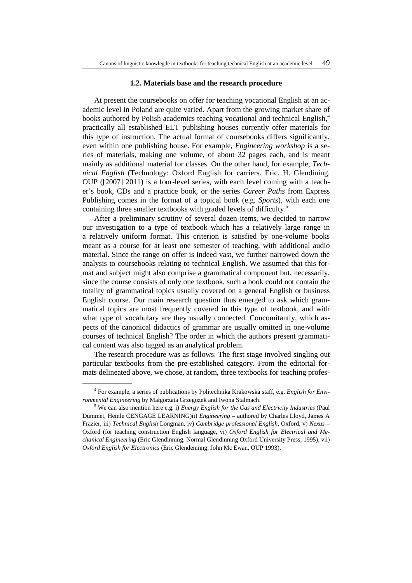#### **1.2. Materials base and the research procedure**

At present the coursebooks on offer for teaching vocational English at an academic level in Poland are quite varied. Apart from the growing market share of books authored by Polish academics teaching vocational and technical English,<sup>4</sup> practically all established ELT publishing houses currently offer materials for this type of instruction. The actual format of coursebooks differs significantly, even within one publishing house. For example, *Engineering workshop* is a series of materials, making one volume, of about 32 pages each, and is meant mainly as additional material for classes. On the other hand, for example, *Technical English* (Technology: Oxford English for carriers. Eric. H. Glendining. OUP ([2007] 2011) is a four-level series, with each level coming with a teacher's book, CDs and a practice book, or the series *Career Paths* from Express Publishing comes in the format of a topical book (e.g. *Sports*), with each one containing three smaller textbooks with graded levels of difficulty.<sup>5</sup>

After a preliminary scrutiny of several dozen items, we decided to narrow our investigation to a type of textbook which has a relatively large range in a relatively uniform format. This criterion is satisfied by one-volume books meant as a course for at least one semester of teaching, with additional audio material. Since the range on offer is indeed vast, we further narrowed down the analysis to coursebooks relating to technical English. We assumed that this format and subject might also comprise a grammatical component but, necessarily, since the course consists of only one textbook, such a book could not contain the totality of grammatical topics usually covered on a general English or business English course. Our main research question thus emerged to ask which grammatical topics are most frequently covered in this type of textbook, and with what type of vocabulary are they usually connected. Concomitantly, which aspects of the canonical didactics of grammar are usually omitted in one-volume courses of technical English? The order in which the authors present grammatical content was also tagged as an analytical problem.

The research procedure was as follows. The first stage involved singling out particular textbooks from the pre-established category. From the editorial formats delineated above, we chose, at random, three textbooks for teaching profes-

<sup>4</sup> For example, a series of publications by Politechnika Krakowska staff, e.g. *English for Environmental Engineering* by Małgorzata Grzegozek and Iwona Stalmach.

<sup>5</sup> We can also mention here e.g. i) *Energy English for the Gas and Electricity Industries* (Paul Dummet, Heinle CENGAGE LEARNING)ii) *Engineering* – authored by Charles Lloyd, James A Frazier, iii) *Technical English* Longman, iv) *Cambridge professional English*, Oxford, v) *Nexus* – Oxford (for teaching construction English language, vi) *Oxford English for Electrical and Mechanical Engineering* (Eric Glendinning, Normal Glendinning Oxford University Press, 1995), vii) *Oxford English for Electronics* (Eric Glendeninng, John Mc Ewan, OUP 1993).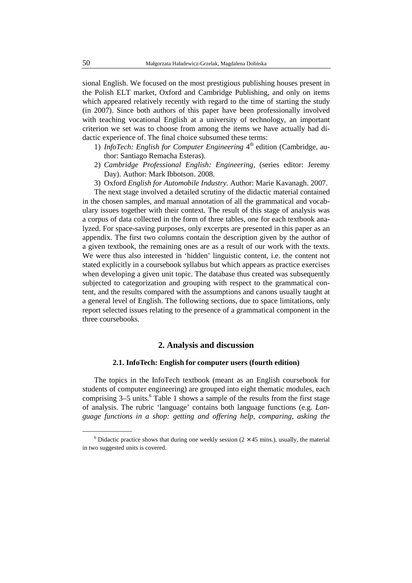sional English. We focused on the most prestigious publishing houses present in the Polish ELT market, Oxford and Cambridge Publishing, and only on items which appeared relatively recently with regard to the time of starting the study (in 2007). Since both authors of this paper have been professionally involved with teaching vocational English at a university of technology, an important criterion we set was to choose from among the items we have actually had didactic experience of. The final choice subsumed these terms:

- 1) InfoTech: English for Computer Engineering 4<sup>th</sup> edition (Cambridge, author: Santiago Remacha Esteras).
- 2) *Cambridge Professional English: Engineering*, (series editor: Jeremy Day). Author: Mark Ibbotson. 2008.
- 3) Oxford *English for Automobile Industry.* Author: Marie Kavanagh. 2007.

The next stage involved a detailed scrutiny of the didactic material contained in the chosen samples, and manual annotation of all the grammatical and vocabulary issues together with their context. The result of this stage of analysis was a corpus of data collected in the form of three tables, one for each textbook analyzed. For space-saving purposes, only excerpts are presented in this paper as an appendix. The first two columns contain the description given by the author of a given textbook, the remaining ones are as a result of our work with the texts. We were thus also interested in 'hidden' linguistic content, i.e. the content not stated explicitly in a coursebook syllabus but which appears as practice exercises when developing a given unit topic. The database thus created was subsequently subjected to categorization and grouping with respect to the grammatical content, and the results compared with the assumptions and canons usually taught at a general level of English. The following sections, due to space limitations, only report selected issues relating to the presence of a grammatical component in the three coursebooks.

# **2. Analysis and discussion**

#### **2.1. InfoTech: English for computer users (fourth edition)**

The topics in the InfoTech textbook (meant as an English coursebook for students of computer engineering) are grouped into eight thematic modules, each comprising  $3-5$  units.<sup>6</sup> Table 1 shows a sample of the results from the first stage of analysis. The rubric 'language' contains both language functions (e.g. *Language functions in a shop: getting and offering help*, *comparing*, *asking the* 

<sup>&</sup>lt;sup>6</sup> Didactic practice shows that during one weekly session  $(2 \times 45 \text{ mins.})$ , usually, the material in two suggested units is covered.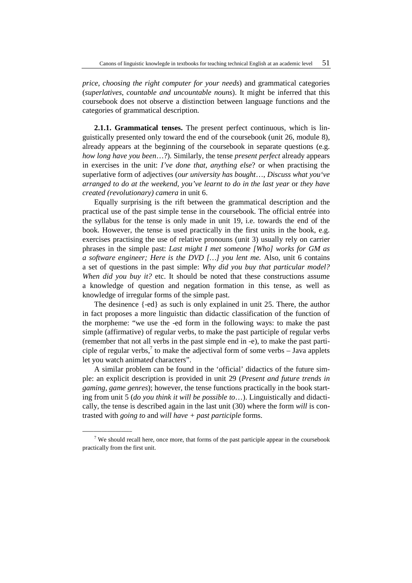*price*, *choosing the right computer for your needs*) and grammatical categories (*superlatives, countable and uncountable nouns*). It might be inferred that this coursebook does not observe a distinction between language functions and the categories of grammatical description.

**2.1.1. Grammatical tenses.** The present perfect continuous, which is linguistically presented only toward the end of the coursebook (unit 26, module 8), already appears at the beginning of the coursebook in separate questions (e.g. *how long have you been*…?). Similarly, the tense *present perfect* already appears in exercises in the unit: *I've done that, anything else*? or when practising the superlative form of adjectives (*our university has bought*…, *Discuss what you've arranged to do at the weekend, you've learnt to do in the last year* or *they have created (revolutionary) camera* in unit 6.

Equally surprising is the rift between the grammatical description and the practical use of the past simple tense in the coursebook. The official entrée into the syllabus for the tense is only made in unit 19, i.e. towards the end of the book. However, the tense is used practically in the first units in the book, e.g. exercises practising the use of relative pronouns (unit 3) usually rely on carrier phrases in the simple past: *Last might I met someone [Who] works for GM as a software engineer; Here is the DVD […] you lent me.* Also, unit 6 contains a set of questions in the past simple: *Why did you buy that particular model? When did you buy it?* etc. It should be noted that these constructions assume a knowledge of question and negation formation in this tense, as well as knowledge of irregular forms of the simple past.

The desinence {-ed} as such is only explained in unit 25. There, the author in fact proposes a more linguistic than didactic classification of the function of the morpheme: "we use the -ed form in the following ways: to make the past simple (affirmative) of regular verbs, to make the past participle of regular verbs (remember that not all verbs in the past simple end in -e), to make the past participle of regular verbs,<sup>7</sup> to make the adjectival form of some verbs  $-$  Java applets let you watch animat*ed* characters".

A similar problem can be found in the 'official' didactics of the future simple: an explicit description is provided in unit 29 (*Present and future trends in gaming, game genres*); however, the tense functions practically in the book starting from unit 5 (*do you think it will be possible to*…). Linguistically and didactically, the tense is described again in the last unit (30) where the form *will* is contrasted with *going to* and *will have + past participle* forms.

<sup>&</sup>lt;sup>7</sup> We should recall here, once more, that forms of the past participle appear in the coursebook practically from the first unit.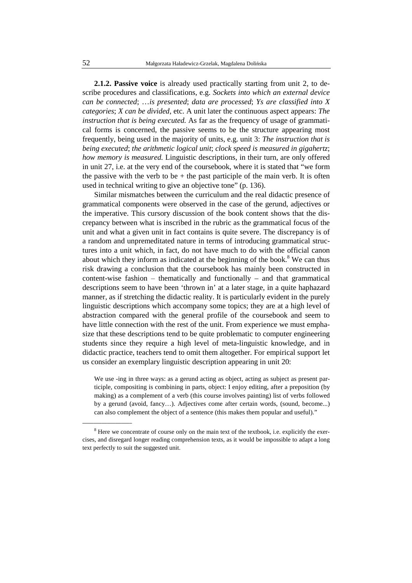**2.1.2. Passive voice** is already used practically starting from unit 2, to describe procedures and classifications, e.g. *Sockets into which an external device can be connected*; …*is presented*; *data are processed*; *Ys are classified into X categories*; *X can be divided*, etc. A unit later the continuous aspect appears: *The instruction that is being executed.* As far as the frequency of usage of grammatical forms is concerned, the passive seems to be the structure appearing most frequently, being used in the majority of units, e.g. unit 3: *The instruction that is being executed*; *the arithmetic logical unit*; *clock speed is measured in gigahertz*; *how memory is measured.* Linguistic descriptions, in their turn, are only offered in unit 27, i.e. at the very end of the coursebook, where it is stated that "we form the passive with the verb to be  $+$  the past participle of the main verb. It is often used in technical writing to give an objective tone" (p. 136).

Similar mismatches between the curriculum and the real didactic presence of grammatical components were observed in the case of the gerund, adjectives or the imperative. This cursory discussion of the book content shows that the discrepancy between what is inscribed in the rubric as the grammatical focus of the unit and what a given unit in fact contains is quite severe. The discrepancy is of a random and unpremeditated nature in terms of introducing grammatical structures into a unit which, in fact, do not have much to do with the official canon about which they inform as indicated at the beginning of the book.<sup>8</sup> We can thus risk drawing a conclusion that the coursebook has mainly been constructed in content-wise fashion  $-$  thematically and functionally  $-$  and that grammatical descriptions seem to have been 'thrown in' at a later stage, in a quite haphazard manner, as if stretching the didactic reality. It is particularly evident in the purely linguistic descriptions which accompany some topics; they are at a high level of abstraction compared with the general profile of the coursebook and seem to have little connection with the rest of the unit. From experience we must emphasize that these descriptions tend to be quite problematic to computer engineering students since they require a high level of meta-linguistic knowledge, and in didactic practice, teachers tend to omit them altogether. For empirical support let us consider an exemplary linguistic description appearing in unit 20:

We use -ing in three ways: as a gerund acting as object, acting as subject as present participle, compositing is combining in parts, object: I enjoy editing, after a preposition (by making) as a complement of a verb (this course involves painting) list of verbs followed by a gerund (avoid, fancy…). Adjectives come after certain words, (sound, become...) can also complement the object of a sentence (this makes them popular and useful)."

<sup>&</sup>lt;sup>8</sup> Here we concentrate of course only on the main text of the textbook, i.e. explicitly the exercises, and disregard longer reading comprehension texts, as it would be impossible to adapt a long text perfectly to suit the suggested unit.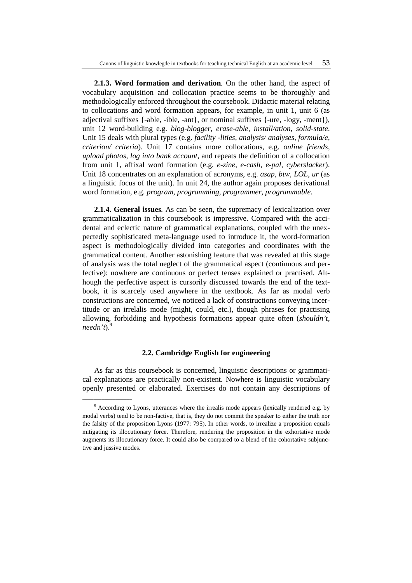**2.1.3. Word formation and derivation***.* On the other hand, the aspect of vocabulary acquisition and collocation practice seems to be thoroughly and methodologically enforced throughout the coursebook. Didactic material relating to collocations and word formation appears, for example, in unit 1, unit 6 (as adjectival suffixes {-able, -ible, -ant}, or nominal suffixes {-ure, -logy, -ment}), unit 12 word-building e.g. *blog-blogger, erase-able, install/ation, solid-state*. Unit 15 deals with plural types (e.g. *facility -lities, analysis/ analyses, formula/e, criterion/ criteria*). Unit 17 contains more collocations, e.g. *online friends, upload photos, log into bank account,* and repeats the definition of a collocation from unit 1, affixal word formation (e.g. *e-zine, e-cash, e-pal, cyberslacker*). Unit 18 concentrates on an explanation of acronyms, e.g. *asap, btw, LOL, ur* (as a linguistic focus of the unit). In unit 24, the author again proposes derivational word formation, e.g. *program, programming, programmer, programmable*.

**2.1.4. General issues***.* As can be seen, the supremacy of lexicalization over grammaticalization in this coursebook is impressive. Compared with the accidental and eclectic nature of grammatical explanations, coupled with the unexpectedly sophisticated meta-language used to introduce it, the word-formation aspect is methodologically divided into categories and coordinates with the grammatical content. Another astonishing feature that was revealed at this stage of analysis was the total neglect of the grammatical aspect (continuous and perfective): nowhere are continuous or perfect tenses explained or practised. Although the perfective aspect is cursorily discussed towards the end of the textbook, it is scarcely used anywhere in the textbook. As far as modal verb constructions are concerned, we noticed a lack of constructions conveying incertitude or an irrelalis mode (might, could, etc.), though phrases for practising allowing, forbidding and hypothesis formations appear quite often (*shouldn't, needn't*).<sup>9</sup>

#### **2.2. Cambridge English for engineering**

As far as this coursebook is concerned, linguistic descriptions or grammatical explanations are practically non-existent. Nowhere is linguistic vocabulary openly presented or elaborated. Exercises do not contain any descriptions of

\_\_\_\_\_\_\_\_\_\_\_\_\_\_\_\_\_\_

<sup>&</sup>lt;sup>9</sup> According to Lyons, utterances where the irrealis mode appears (lexically rendered e.g. by modal verbs) tend to be non-factive, that is, they do not commit the speaker to either the truth nor the falsity of the proposition Lyons (1977: 795). In other words, to irrealize a proposition equals mitigating its illocutionary force. Therefore, rendering the proposition in the exhortative mode augments its illocutionary force. It could also be compared to a blend of the cohortative subjunctive and jussive modes.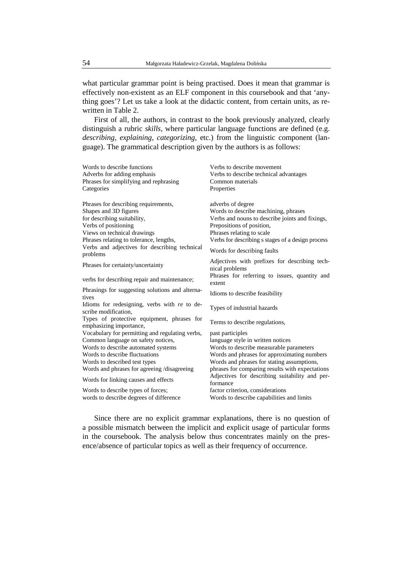what particular grammar point is being practised. Does it mean that grammar is effectively non-existent as an ELF component in this coursebook and that 'anything goes'? Let us take a look at the didactic content, from certain units, as rewritten in Table 2.

First of all, the authors, in contrast to the book previously analyzed, clearly distinguish a rubric *skills*, where particular language functions are defined (e.g. *describing*, *explaining*, *categorizing,* etc.) from the linguistic component (language). The grammatical description given by the authors is as follows:

| Words to describe functions<br>Adverbs for adding emphasis<br>Phrases for simplifying and rephrasing<br>Categories                                                                                                                                                                     | Verbs to describe movement<br>Verbs to describe technical advantages<br>Common materials<br>Properties                                                                                                                                                                                                         |
|----------------------------------------------------------------------------------------------------------------------------------------------------------------------------------------------------------------------------------------------------------------------------------------|----------------------------------------------------------------------------------------------------------------------------------------------------------------------------------------------------------------------------------------------------------------------------------------------------------------|
| Phrases for describing requirements,<br>Shapes and 3D figures<br>for describing suitability,<br>Verbs of positioning<br>Views on technical drawings<br>Phrases relating to tolerance, lengths,<br>Verbs and adjectives for describing technical<br>problems                            | adverbs of degree<br>Words to describe machining, phrases<br>Verbs and nouns to describe joints and fixings,<br>Prepositions of position,<br>Phrases relating to scale<br>Verbs for describing s stages of a design process<br>Words for describing faults                                                     |
| Phrases for certainty/uncertainty<br>verbs for describing repair and maintenance;                                                                                                                                                                                                      | Adjectives with prefixes for describing tech-<br>nical problems<br>Phrases for referring to issues, quantity and<br>extent                                                                                                                                                                                     |
| Phrasings for suggesting solutions and alterna-<br>tives                                                                                                                                                                                                                               | Idioms to describe feasibility                                                                                                                                                                                                                                                                                 |
| Idioms for redesigning, verbs with re to de-<br>scribe modification,                                                                                                                                                                                                                   | Types of industrial hazards                                                                                                                                                                                                                                                                                    |
| Types of protective equipment, phrases for<br>emphasizing importance,                                                                                                                                                                                                                  | Terms to describe regulations,                                                                                                                                                                                                                                                                                 |
| Vocabulary for permitting and regulating verbs,<br>Common language on safety notices,<br>Words to describe automated systems<br>Words to describe fluctuations<br>Words to described test types<br>Words and phrases for agreeing /disagreeing<br>Words for linking causes and effects | past participles<br>language style in written notices<br>Words to describe measurable parameters<br>Words and phrases for approximating numbers<br>Words and phrases for stating assumptions,<br>phrases for comparing results with expectations<br>Adjectives for describing suitability and per-<br>formance |
| Words to describe types of forces;<br>words to describe degrees of difference                                                                                                                                                                                                          | factor criterion, considerations<br>Words to describe capabilities and limits                                                                                                                                                                                                                                  |

Since there are no explicit grammar explanations, there is no question of a possible mismatch between the implicit and explicit usage of particular forms in the coursebook. The analysis below thus concentrates mainly on the presence/absence of particular topics as well as their frequency of occurrence.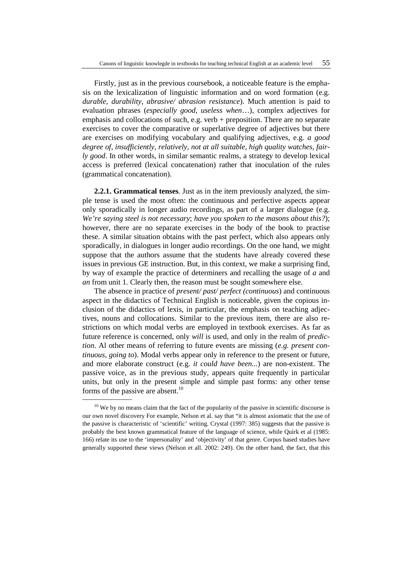Firstly, just as in the previous coursebook, a noticeable feature is the emphasis on the lexicalization of linguistic information and on word formation (e.g. *durable, durability, abrasive/ abrasion resistance*). Much attention is paid to evaluation phrases (*especially good, useless when*…), complex adjectives for emphasis and collocations of such, e.g. verb + preposition. There are no separate exercises to cover the comparative or superlative degree of adjectives but there are exercises on modifying vocabulary and qualifying adjectives, e.g. *a good degree of, insufficiently, relatively, not at all suitable, high quality watches, fairly good*. In other words, in similar semantic realms, a strategy to develop lexical access is preferred (lexical concatenation) rather that inoculation of the rules (grammatical concatenation).

**2.2.1. Grammatical tenses***.* Just as in the item previously analyzed, the simple tense is used the most often: the continuous and perfective aspects appear only sporadically in longer audio recordings, as part of a larger dialogue (e.g. *We're saying steel is not necessary*; *have you spoken to the masons about this?*); however, there are no separate exercises in the body of the book to practise these. A similar situation obtains with the past perfect, which also appears only sporadically, in dialogues in longer audio recordings. On the one hand, we might suppose that the authors assume that the students have already covered these issues in previous GE instruction. But, in this context, we make a surprising find, by way of example the practice of determiners and recalling the usage of *a* and *an* from unit 1*.* Clearly then, the reason must be sought somewhere else.

The absence in practice of *present/ past/ perfect (continuous*) and continuous aspect in the didactics of Technical English is noticeable, given the copious inclusion of the didactics of lexis, in particular, the emphasis on teaching adjectives, nouns and collocations. Similar to the previous item, there are also restrictions on which modal verbs are employed in textbook exercises. As far as future reference is concerned, only *will* is used, and only in the realm of *prediction*. Al other means of referring to future events are missing (*e.g. present continuous, going to*). Modal verbs appear only in reference to the present or future, and more elaborate construct (e.g. *it could have been...*) are non-existent. The passive voice, as in the previous study, appears quite frequently in particular units, but only in the present simple and simple past forms: any other tense forms of the passive are absent.<sup>10</sup> \_\_\_\_\_\_\_\_\_\_\_\_\_\_\_\_\_\_

<sup>&</sup>lt;sup>10</sup> We by no means claim that the fact of the popularity of the passive in scientific discourse is our own novel discovery For example, Nelson et al. say that "it is almost axiomatic that the use of the passive is characteristic of 'scientific' writing. Crystal (1997: 385) suggests that the passive is probably the best known grammatical feature of the language of science, while Quirk et al (1985: 166) relate its use to the 'impersonality' and 'objectivity' of that genre. Corpus based studies have generally supported these views (Nelson et all. 2002: 249). On the other hand, the fact, that this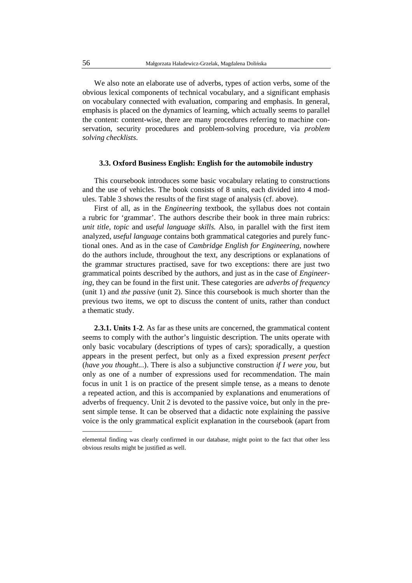We also note an elaborate use of adverbs, types of action verbs, some of the obvious lexical components of technical vocabulary, and a significant emphasis on vocabulary connected with evaluation, comparing and emphasis. In general, emphasis is placed on the dynamics of learning, which actually seems to parallel the content: content-wise, there are many procedures referring to machine conservation, security procedures and problem-solving procedure, via *problem solving checklists*.

#### **3.3. Oxford Business English: English for the automobile industry**

This coursebook introduces some basic vocabulary relating to constructions and the use of vehicles. The book consists of 8 units, each divided into 4 modules. Table 3 shows the results of the first stage of analysis (cf. above).

First of all, as in the *Engineering* textbook, the syllabus does not contain a rubric for 'grammar'. The authors describe their book in three main rubrics: *unit title*, *topic* and *useful language skills.* Also, in parallel with the first item analyzed, *useful language* contains both grammatical categories and purely functional ones. And as in the case of *Cambridge English for Engineering,* nowhere do the authors include, throughout the text, any descriptions or explanations of the grammar structures practised, save for two exceptions: there are just two grammatical points described by the authors, and just as in the case of *Engineering*, they can be found in the first unit. These categories are *adverbs of frequency* (unit 1) and *the passive* (unit 2). Since this coursebook is much shorter than the previous two items, we opt to discuss the content of units, rather than conduct a thematic study.

**2.3.1. Units 1-2***.* As far as these units are concerned, the grammatical content seems to comply with the author's linguistic description. The units operate with only basic vocabulary (descriptions of types of cars); sporadically, a question appears in the present perfect, but only as a fixed expression *present perfect* (*have you thought..*.). There is also a subjunctive construction *if I were you,* but only as one of a number of expressions used for recommendation. The main focus in unit 1 is on practice of the present simple tense, as a means to denote a repeated action, and this is accompanied by explanations and enumerations of adverbs of frequency. Unit 2 is devoted to the passive voice, but only in the present simple tense. It can be observed that a didactic note explaining the passive voice is the only grammatical explicit explanation in the coursebook (apart from

elemental finding was clearly confirmed in our database, might point to the fact that other less obvious results might be justified as well.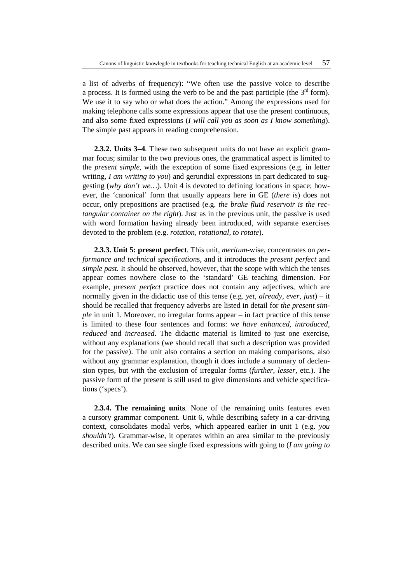a list of adverbs of frequency): "We often use the passive voice to describe a process. It is formed using the verb to be and the past participle (the  $3<sup>rd</sup>$  form). We use it to say who or what does the action." Among the expressions used for making telephone calls some expressions appear that use the present continuous, and also some fixed expressions (*I will call you as soon as I know something*). The simple past appears in reading comprehension.

**2.3.2. Units 3–4***.* These two subsequent units do not have an explicit grammar focus; similar to the two previous ones, the grammatical aspect is limited to the *present simple*, with the exception of some fixed expressions (e.g. in letter writing, *I am writing to you*) and gerundial expressions in part dedicated to suggesting (*why don't we…*). Unit 4 is devoted to defining locations in space; however, the 'canonical' form that usually appears here in GE (*there is*) does not occur, only prepositions are practised (e.g. *the brake fluid reservoir is the rectangular container on the right*). Just as in the previous unit, the passive is used with word formation having already been introduced, with separate exercises devoted to the problem (e.g. *rotation, rotational, to rotate*).

**2.3.3. Unit 5: present perfect***.* This unit, *meritum*-wise, concentrates on *performance and technical specification*s, and it introduces the *present perfect* and *simple past.* It should be observed, however, that the scope with which the tenses appear comes nowhere close to the 'standard' GE teaching dimension. For example, *present perfect* practice does not contain any adjectives, which are normally given in the didactic use of this tense (e.g. *yet, already, ever, just*) – it should be recalled that frequency adverbs are listed in detail for *the present simple* in unit 1. Moreover, no irregular forms appear – in fact practice of this tense is limited to these four sentences and forms: *we have enhanced, introduced, reduced* and *increased*. The didactic material is limited to just one exercise, without any explanations (we should recall that such a description was provided for the passive). The unit also contains a section on making comparisons, also without any grammar explanation, though it does include a summary of declension types, but with the exclusion of irregular forms (*further*, *lesser,* etc.). The passive form of the present is still used to give dimensions and vehicle specifications ('specs').

**2.3.4. The remaining units***.* None of the remaining units features even a cursory grammar component. Unit 6, while describing safety in a car-driving context, consolidates modal verbs, which appeared earlier in unit 1 (e.g. *you shouldn't*). Grammar-wise, it operates within an area similar to the previously described units. We can see single fixed expressions with going to (*I am going to*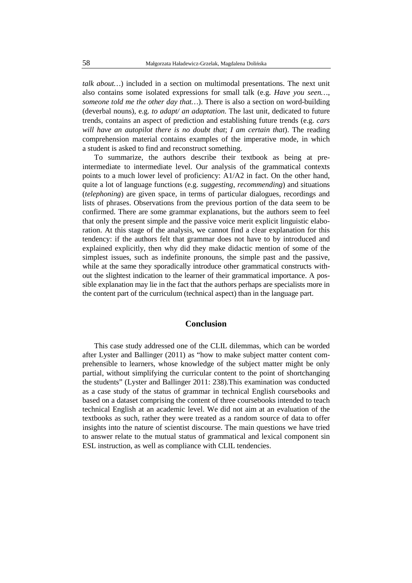*talk about…*) included in a section on multimodal presentations. The next unit also contains some isolated expressions for small talk (e.g. *Have you seen…*, *someone told me the other day that…*). There is also a section on word-building (deverbal nouns), e.g. *to adapt/ an adaptation.* The last unit, dedicated to future trends, contains an aspect of prediction and establishing future trends (e.g. *cars will have an autopilot there is no doubt that*; *I am certain that*). The reading comprehension material contains examples of the imperative mode, in which a student is asked to find and reconstruct something.

To summarize, the authors describe their textbook as being at preintermediate to intermediate level. Our analysis of the grammatical contexts points to a much lower level of proficiency: A1/A2 in fact. On the other hand, quite a lot of language functions (e.g. *suggesting*, *recommending*) and situations (*telephoning*) are given space, in terms of particular dialogues, recordings and lists of phrases. Observations from the previous portion of the data seem to be confirmed. There are some grammar explanations, but the authors seem to feel that only the present simple and the passive voice merit explicit linguistic elaboration. At this stage of the analysis, we cannot find a clear explanation for this tendency: if the authors felt that grammar does not have to by introduced and explained explicitly, then why did they make didactic mention of some of the simplest issues, such as indefinite pronouns, the simple past and the passive, while at the same they sporadically introduce other grammatical constructs without the slightest indication to the learner of their grammatical importance. A possible explanation may lie in the fact that the authors perhaps are specialists more in the content part of the curriculum (technical aspect) than in the language part.

### **Conclusion**

This case study addressed one of the CLIL dilemmas, which can be worded after Lyster and Ballinger (2011) as "how to make subject matter content comprehensible to learners, whose knowledge of the subject matter might be only partial, without simplifying the curricular content to the point of shortchanging the students" (Lyster and Ballinger 2011: 238).This examination was conducted as a case study of the status of grammar in technical English coursebooks and based on a dataset comprising the content of three coursebooks intended to teach technical English at an academic level. We did not aim at an evaluation of the textbooks as such, rather they were treated as a random source of data to offer insights into the nature of scientist discourse. The main questions we have tried to answer relate to the mutual status of grammatical and lexical component sin ESL instruction, as well as compliance with CLIL tendencies.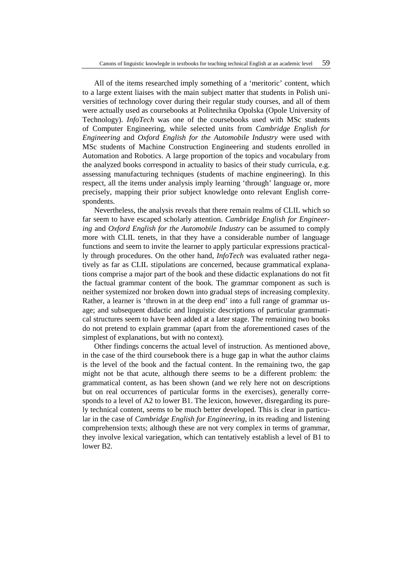All of the items researched imply something of a 'meritoric' content, which to a large extent liaises with the main subject matter that students in Polish universities of technology cover during their regular study courses, and all of them were actually used as coursebooks at Politechnika Opolska (Opole University of Technology). *InfoTech* was one of the coursebooks used with MSc students of Computer Engineering, while selected units from *Cambridge English for Engineering* and *Oxford English for the Automobile Industry* were used with MSc students of Machine Construction Engineering and students enrolled in Automation and Robotics. A large proportion of the topics and vocabulary from the analyzed books correspond in actuality to basics of their study curricula, e.g. assessing manufacturing techniques (students of machine engineering). In this respect, all the items under analysis imply learning 'through' language or, more precisely, mapping their prior subject knowledge onto relevant English correspondents.

Nevertheless, the analysis reveals that there remain realms of CLIL which so far seem to have escaped scholarly attention. *Cambridge English for Engineering* and *Oxford English for the Automobile Industry* can be assumed to comply more with CLIL tenets, in that they have a considerable number of language functions and seem to invite the learner to apply particular expressions practically through procedures. On the other hand, *InfoTech* was evaluated rather negatively as far as CLIL stipulations are concerned, because grammatical explanations comprise a major part of the book and these didactic explanations do not fit the factual grammar content of the book. The grammar component as such is neither systemized nor broken down into gradual steps of increasing complexity. Rather, a learner is 'thrown in at the deep end' into a full range of grammar usage; and subsequent didactic and linguistic descriptions of particular grammatical structures seem to have been added at a later stage. The remaining two books do not pretend to explain grammar (apart from the aforementioned cases of the simplest of explanations, but with no context).

Other findings concerns the actual level of instruction. As mentioned above, in the case of the third coursebook there is a huge gap in what the author claims is the level of the book and the factual content. In the remaining two, the gap might not be that acute, although there seems to be a different problem: the grammatical content, as has been shown (and we rely here not on descriptions but on real occurrences of particular forms in the exercises), generally corresponds to a level of A2 to lower B1. The lexicon, however, disregarding its purely technical content, seems to be much better developed. This is clear in particular in the case of *Cambridge English for Engineering*, in its reading and listening comprehension texts; although these are not very complex in terms of grammar, they involve lexical variegation, which can tentatively establish a level of B1 to lower B2.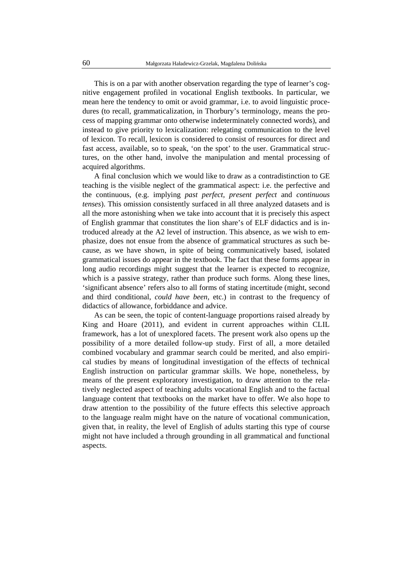This is on a par with another observation regarding the type of learner's cognitive engagement profiled in vocational English textbooks. In particular, we mean here the tendency to omit or avoid grammar, i.e. to avoid linguistic procedures (to recall, grammaticalization, in Thorbury's terminology, means the process of mapping grammar onto otherwise indeterminately connected words), and instead to give priority to lexicalization: relegating communication to the level of lexicon. To recall, lexicon is considered to consist of resources for direct and fast access, available, so to speak, 'on the spot' to the user. Grammatical structures, on the other hand, involve the manipulation and mental processing of acquired algorithms.

A final conclusion which we would like to draw as a contradistinction to GE teaching is the visible neglect of the grammatical aspect: i.e. the perfective and the continuous, (e.g. implying *past perfect, present perfect* and *continuous tenses*). This omission consistently surfaced in all three analyzed datasets and is all the more astonishing when we take into account that it is precisely this aspect of English grammar that constitutes the lion share's of ELF didactics and is introduced already at the A2 level of instruction. This absence, as we wish to emphasize, does not ensue from the absence of grammatical structures as such because, as we have shown, in spite of being communicatively based, isolated grammatical issues do appear in the textbook. The fact that these forms appear in long audio recordings might suggest that the learner is expected to recognize, which is a passive strategy, rather than produce such forms. Along these lines, 'significant absence' refers also to all forms of stating incertitude (might, second and third conditional, *could have been,* etc.) in contrast to the frequency of didactics of allowance, forbiddance and advice.

As can be seen, the topic of content-language proportions raised already by King and Hoare (2011), and evident in current approaches within CLIL framework, has a lot of unexplored facets. The present work also opens up the possibility of a more detailed follow-up study. First of all, a more detailed combined vocabulary and grammar search could be merited, and also empirical studies by means of longitudinal investigation of the effects of technical English instruction on particular grammar skills. We hope, nonetheless, by means of the present exploratory investigation, to draw attention to the relatively neglected aspect of teaching adults vocational English and to the factual language content that textbooks on the market have to offer. We also hope to draw attention to the possibility of the future effects this selective approach to the language realm might have on the nature of vocational communication, given that, in reality, the level of English of adults starting this type of course might not have included a through grounding in all grammatical and functional aspects.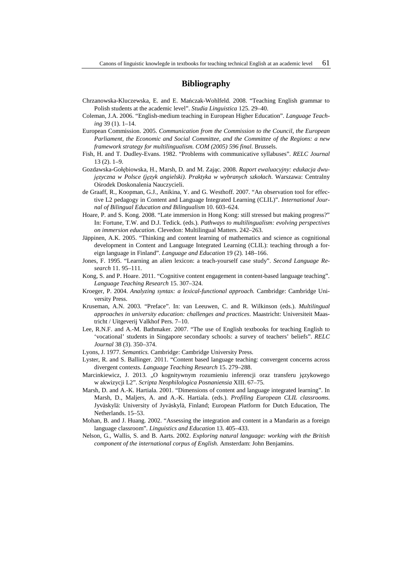# **Bibliography**

- Chrzanowska-Kluczewska, E. and E. Mańczak-Wohlfeld. 2008. "Teaching English grammar to Polish students at the academic level". *Studia Linguistica* 125. 29–40.
- Coleman, J.A. 2006. "English-medium teaching in European Higher Education". *Language Teaching* 39 (1). 1–14.
- European Commission. 2005. *Communication from the Commission to the Council, the European Parliament, the Economic and Social Committee, and the Committee of the Regions: a new framework strategy for multilingualism. COM (2005) 596 final.* Brussels.
- Fish, H. and T. Dudley-Evans. 1982. "Problems with communicative syllabuses". *RELC Journal* 13 (2). 1–9.
- Gozdawska-Gołębiowska, H., Marsh, D. and M. Zając. 2008. *Raport ewaluacyjny: edukacja dwujęzyczna w Polsce (język angielski). Praktyka w wybranych szkołach*. Warszawa: Centralny Ośrodek Doskonalenia Nauczycieli.
- de Graaff, R., Koopman, G.J., Anikina, Y. and G. Westhoff. 2007. "An observation tool for effective L2 pedagogy in Content and Language Integrated Learning (CLIL)". *International Journal of Bilingual Education and Bilingualism* 10. 603–624.
- Hoare, P. and S. Kong. 2008. "Late immersion in Hong Kong: still stressed but making progress?" In: Fortune, T.W. and D.J. Tedick. (eds.). *Pathways to multilingualism: evolving perspectives on immersion education.* Clevedon: Multilingual Matters. 242–263.
- Jäppinen, A.K. 2005. "Thinking and content learning of mathematics and science as cognitional development in Content and Language Integrated Learning (CLIL): teaching through a foreign language in Finland". *Language and Education* 19 (2). 148–166.
- Jones, F. 1995. "Learning an alien lexicon: a teach-yourself case study". *Second Language Research* 11. 95–111.
- Kong, S. and P. Hoare. 2011. "Cognitive content engagement in content-based language teaching". *Language Teaching Research* 15. 307–324.
- Kroeger, P. 2004. *Analyzing syntax: a lexical-functional approach.* Cambridge: Cambridge University Press.
- Kruseman, A.N. 2003. "Preface". In: van Leeuwen, C. and R. Wilkinson (eds.). *Multilingual approaches in university education: challenges and practices*. Maastricht: Universiteit Maastricht / Uitgeverij Valkhof Pers. 7–10.
- Lee, R.N.F. and A.-M. Bathmaker. 2007. "The use of English textbooks for teaching English to 'vocational' students in Singapore secondary schools: a survey of teachers' beliefs". *RELC Journal* 38 (3). 350–374.
- Lyons, J. 1977. *Semantics.* Cambridge: Cambridge University Press.
- Lyster, R. and S. Ballinger. 2011. "Content based language teaching: convergent concerns across divergent contexts. *Language Teaching Research* 15. 279–288.
- Marcinkiewicz, J. 2013. "O kognitywnym rozumieniu inferencji oraz transferu językowego w akwizycji L2". *Scripta Neophilologica Posnaniensia* XIII. 67–75.
- Marsh, D. and A.-K. Hartiala. 2001. "Dimensions of content and language integrated learning". In Marsh, D., Maljers, A. and A.-K. Hartiala. (eds.). *Profiling European CLIL classrooms*. Jyväskylä: University of Jyväskylä, Finland; European Platform for Dutch Education, The Netherlands. 15–53.
- Mohan, B. and J. Huang. 2002. "Assessing the integration and content in a Mandarin as a foreign language classroom". *Linguistics and Education* 13. 405–433.
- Nelson, G., Wallis, S. and B. Aarts. 2002. *Exploring natural language: working with the British component of the international corpus of English.* Amsterdam: John Benjamins.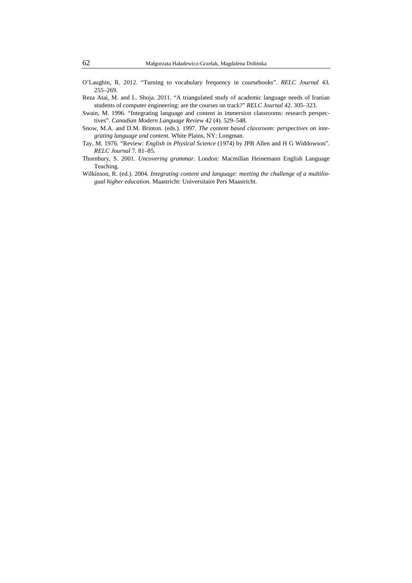- O'Laughin, R. 2012. "Turning to vocabulary frequency in coursebooks". *RELC Journal* 43*.*  255–269.
- Reza Atai, M. and L. Shoja. 2011. "A triangulated study of academic language needs of Iranian students of computer engineering: are the courses on track?" *RELC Journal* 42. 305–323.
- Swain, M. 1996. "Integrating language and content in immersion classrooms: research perspectives". *Canadian Modern Language Review* 42 (4). 529–548.
- Snow, M.A. and D.M. Brinton. (eds.). 1997. *The content based classroom: perspectives on integrating language and content*. White Plains, NY: Longman.
- Tay, M. 1976. "Review: *English in Physical Science* (1974) by JPB Allen and H G Widdowson". *RELC Journal* 7*.* 81–85.
- Thornbury, S. 2001. *Uncovering grammar.* London: Macmillan Heinemann English Language Teaching.
- Wilkinson, R. (ed.). 2004. *Integrating content and language: meeting the challenge of a multilingual higher education*. Maastricht: Universitaire Pers Maastricht.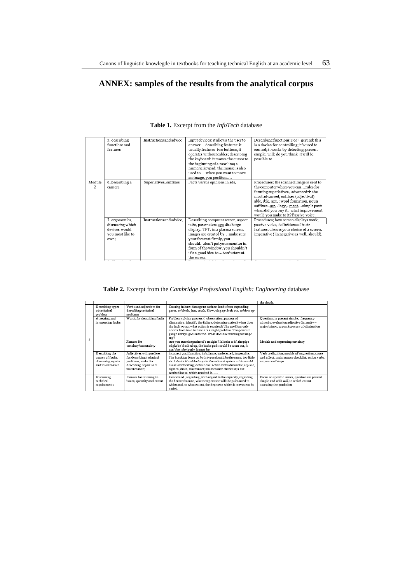# **ANNEX: samples of the results from the analytical corpus**

|                         | 5. describing<br>functions and<br>features                                      | Instructions and advice  | Input devices: it allows the user to<br>answer describing features: it<br>usually features two buttons, it<br>operates without cables; describing<br>the keyboard: it moves the cursor to<br>the beginning of a new line; a<br>numeric keypad; the mouse is also<br>used towhen you want to move<br>an image, you position | Describing functions: For + gerund: this<br>is a device for controlling; it's used to<br>control; it works by detecting; present<br>simple; will: do you think it will be<br>possible to                                                                                                                                                            |
|-------------------------|---------------------------------------------------------------------------------|--------------------------|----------------------------------------------------------------------------------------------------------------------------------------------------------------------------------------------------------------------------------------------------------------------------------------------------------------------------|-----------------------------------------------------------------------------------------------------------------------------------------------------------------------------------------------------------------------------------------------------------------------------------------------------------------------------------------------------|
| Module<br>$\mathcal{D}$ | 6.Describing a<br>camera                                                        | Superlatives, suffixes   | Facts versus opinions in ads,                                                                                                                                                                                                                                                                                              | Procedures: the scanned image is sent to<br>the computer where you canrules for<br>forming superlatives, advanced $\rightarrow$ the<br>most advanced; suffixes (adjectival):<br>able, ible, ant, : word formation, noun<br>suffixes -ure, -logy,- mentsimple past:<br>when did you buy it; what improvement<br>would you make to it? Passive voice. |
|                         | 7. ergonomics,<br>discussing which<br>devices would<br>you most like to<br>own: | Instructions and advice. | Describing computer screen, aspect<br>ratio, parameters, ags discharge<br>display, TFT, in a plasma screen,<br>images are created by, make sure<br>your feet rest firmly, you<br>shoulddon't put your monitor in<br>form of the window, you shouldn't<br>it's a good idea todon't stare at<br>the screen                   | Procedures; how screen displays work;<br>passive voice, definitions of basic<br>features, discuss your choice of a screen,<br>imperative (in negative as well, should).                                                                                                                                                                             |

# **Table 1.** Excerpt from the *InfoTech* database

**Table 2.** Excerpt from the *Cambridge Professional English: Engineering* database

|   |                                                                               |                                                                                                                      |                                                                                                                                                                                                                                                                                                                                                                     | the depth.                                                                                                                          |
|---|-------------------------------------------------------------------------------|----------------------------------------------------------------------------------------------------------------------|---------------------------------------------------------------------------------------------------------------------------------------------------------------------------------------------------------------------------------------------------------------------------------------------------------------------------------------------------------------------|-------------------------------------------------------------------------------------------------------------------------------------|
| 5 | Describing types<br>of technical<br>problem                                   | Verbs and adjectives for<br>describing technical<br>problems                                                         | Causing failure: damage to surface, loads from expanding<br>gases, to block, jam, crack, blow, clog up, leak out, to blow up                                                                                                                                                                                                                                        |                                                                                                                                     |
|   | Assessing and<br>interpreting faults                                          | Words for describing faults                                                                                          | Problem solving process (: observation, process of<br>elimination, identify the failure, determine action) when does<br>the fault occur, what action is required? The problem only<br>occurs from time to time it's a slight problem. Temperature<br>gauge always goes into red. What does the warning message<br>say?                                              | Questions in present simple, frequency<br>adverbs, evaluation adjective (intensity -<br>major/minor, urgent) process of elimination |
|   |                                                                               | Phrases for<br>certainty/uncertainty                                                                                 | Are you sure the pushrod's straight? It looks as if, the pipe<br>might be blocked up, the brake pads could be worn out, it<br>can't beobviously it must be                                                                                                                                                                                                          | Modals and expressing certainty                                                                                                     |
|   | Describing the<br>causes of faults.<br>discussing repairs<br>and maintenance. | Adjectives with prefixes<br>for describing technical<br>problems, verbs for<br>describing repair and<br>maintenance: | incorrect, malfunction, imbalance, undetected, inoperable.<br>The breaking force on both types should be the same, too little<br>air. I doubt it's a blockage in the exhaust system - this would<br>cause overheating; definitions: action verbs dismantle, replace,<br>tighten, drain, disconnect; maintenance checklist; a nut<br>worked loose, which resulted in | Verb prefixation, modals of suggestion, cause<br>and effect; maintenance checklist, action verbs,<br>sequence of steps.             |
|   | Discussing<br>technical<br>requirements                                       | Phrases for referring to<br>issues, quantity and extent                                                              | Concerned, regarding, with regard to the capacity, regarding<br>the heat resistance, what temperature will the paint need to<br>withstand, to what extent, the degree to which it moves can be<br>varied                                                                                                                                                            | Focus on specific issues, questions in present<br>simple and with will, to which extent-<br>assessing the gradation                 |